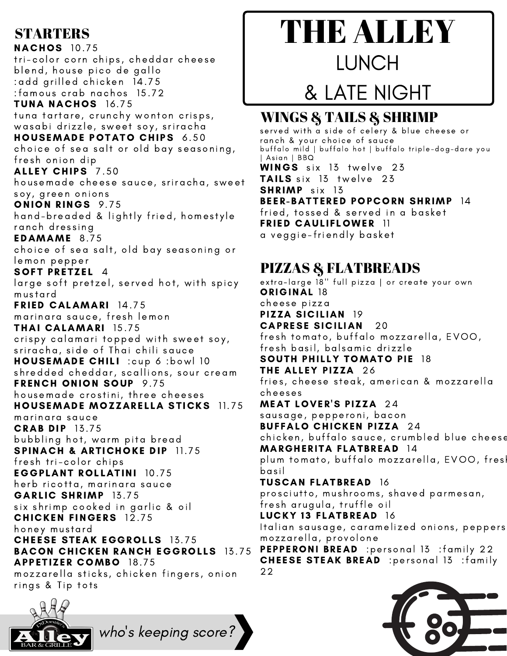### **STARTERS**

**NACHOS** 10.75 tri-color corn chips, cheddar cheese blend, house pico de gallo :add grilled chicken 14.75 :famou s c rab nac hos 15. 72 TUNA NACHOS 16.75 tuna tartare, crunchy wonton crisps, wasabi drizzle, sweet soy, sriracha HOUSEMADE POTATO CHIPS 6.50 choice of sea salt or old bay seasoning, fresh onion dip ALLEY CHIPS 7.50 housemade cheese sauce, sriracha, sweet soy, green onions ONION RINGS 9.75 hand-breaded & lightly fried, homestyle ranch dressing EDAMAME 8.75 choice of sea salt, old bay seasoning or lemon pepper SOFT PRETZEL 4 large soft pretzel, served hot, with spicy mustard FRIED CALAMARI 14.75 marinara sauce, fresh lemon THAI CALAMARI 15. 75 crispy calamari topped with sweet soy, sriracha, side of Thai chili sauce HOUSEMADE CHILI : cup 6 : bowl 10 shredded cheddar, scallions, sour cream FRENCH ONION SOUP 9.75 housemade crostini, three cheeses HOUSEMADE MOZZARELLA STICKS 11.75 marinara sauce **CRAB DIP 13.75** bubbling hot, warm pita bread SPINACH & ARTICHOKE DIP 11.75 fresh tri-color chips **EGGPLANT ROLLATINI 10.75** herb ricotta, marinara sauce GARLIC SHRIMP 13.75 six shrimp cooked in garlic & oil **CHICKEN FINGERS** 12.75 honey mustard **CHEESE STEAK EGGROLLS** 13.75 **BACON CHICKEN RANCH EGGROLLS 13.75 APPETIZER COMBO 18.75** mozzarella sticks, chicken fingers, onion rings & Tip tots



## LUNCH

# & LATE NIGHT

### WINGS & TAILS & SHRIMP

served with a side of celery & blue cheese or ranch & your choice of sauce bu ffalo mi ld | bu ffalo hot | bu ffalo triple-dog-dare you | As ian | B BQ WINGS six 13 twelve 23 TAILS six 13 twelve 23 SHRIMP six 13 BEER-BATTERED POPCORN SHRIMP 14 fried, tossed & served in a basket FRIED CAULIFLOWER 11 a veggie-friendly basket

### PIZZAS & FLATBREADS

extra-large 18" full pizza | or create your own ORIGINAL 18 c heese pi z za PIZZA SICILIAN 19 **CAPRESE SICILIAN** 20 fresh tomato, buffalo mozzarella, EVOO, fresh basil, balsamic drizzle SOUTH PHILLY TOMATO PIE 18 THE ALLEY PIZZA 26 fries, cheese steak, american & mozzarella c heeses MEAT LOVER'S PIZZA 24 sausage, pepperoni, bacon **BUFFALO CHICKEN PIZZA 24** chicken, buffalo sauce, crumbled blue cheese MARGHERITA FLATBREAD 14 plum tomato, buffalo mozzarella, EVOO, fres basil TUSCAN FLATBREAD 16 prosciutto, mushrooms, shaved parmesan, fresh arugula, truffle oil LUCKY 13 FLATBREAD 16 Italian sausage, caramelized onions, peppers mozzarella, provolone PEPPERONI BREAD : personal 13 : family 22 CHEESE STEAK BREAD : personal 13 : family 22



who 's keeping score?